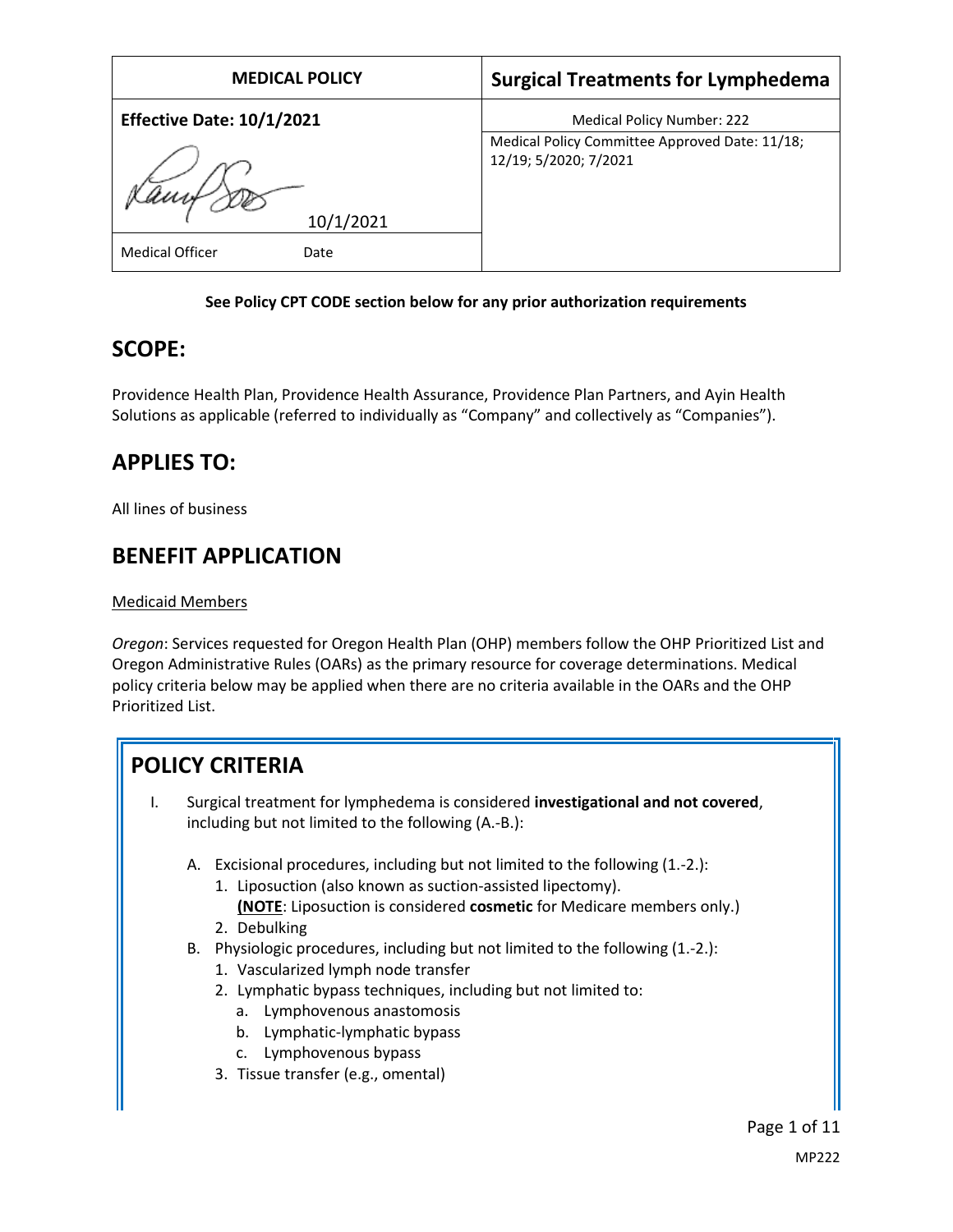| <b>MEDICAL POLICY</b>            | <b>Surgical Treatments for Lymphedema</b>                               |  |  |
|----------------------------------|-------------------------------------------------------------------------|--|--|
| <b>Effective Date: 10/1/2021</b> | <b>Medical Policy Number: 222</b>                                       |  |  |
| 10/1/2021                        | Medical Policy Committee Approved Date: 11/18;<br>12/19; 5/2020; 7/2021 |  |  |
| <b>Medical Officer</b><br>Date   |                                                                         |  |  |

#### **See Policy CPT CODE section below for any prior authorization requirements**

## **SCOPE:**

Providence Health Plan, Providence Health Assurance, Providence Plan Partners, and Ayin Health Solutions as applicable (referred to individually as "Company" and collectively as "Companies").

# **APPLIES TO:**

All lines of business

# **BENEFIT APPLICATION**

### Medicaid Members

*Oregon*: Services requested for Oregon Health Plan (OHP) members follow the OHP Prioritized List and Oregon Administrative Rules (OARs) as the primary resource for coverage determinations. Medical policy criteria below may be applied when there are no criteria available in the OARs and the OHP Prioritized List.

# **POLICY CRITERIA**

- I. Surgical treatment for lymphedema is considered **investigational and not covered**, including but not limited to the following (A.-B.):
	- A. Excisional procedures, including but not limited to the following (1.-2.):
		- 1. Liposuction (also known as suction-assisted lipectomy). **(NOTE**: Liposuction is considered **cosmetic** for Medicare members only.)
		- 2. Debulking
	- B. Physiologic procedures, including but not limited to the following (1.-2.):
		- 1. Vascularized lymph node transfer
		- 2. Lymphatic bypass techniques, including but not limited to:
			- a. Lymphovenous anastomosis
			- b. Lymphatic-lymphatic bypass
			- c. Lymphovenous bypass
		- 3. Tissue transfer (e.g., omental)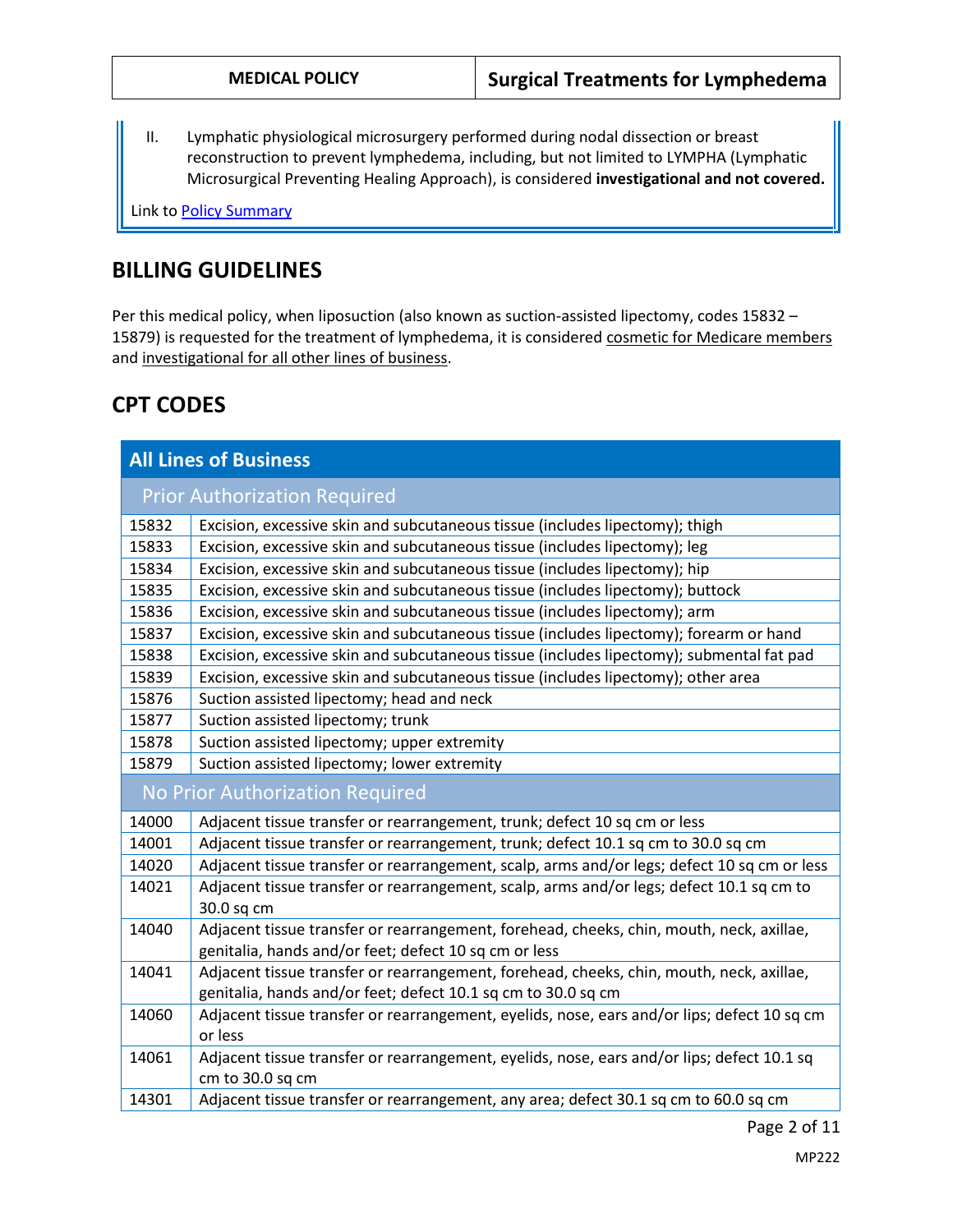II. Lymphatic physiological microsurgery performed during nodal dissection or breast reconstruction to prevent lymphedema, including, but not limited to LYMPHA (Lymphatic Microsurgical Preventing Healing Approach), is considered **investigational and not covered.**

Link t[o Policy Summary](#page-7-0)

## **BILLING GUIDELINES**

Per this medical policy, when liposuction (also known as suction-assisted lipectomy, codes 15832 – 15879) is requested for the treatment of lymphedema, it is considered cosmetic for Medicare members and investigational for all other lines of business.

# **CPT CODES**

| <b>All Lines of Business</b>        |                                                                                                                                                           |  |  |  |
|-------------------------------------|-----------------------------------------------------------------------------------------------------------------------------------------------------------|--|--|--|
| <b>Prior Authorization Required</b> |                                                                                                                                                           |  |  |  |
| 15832                               | Excision, excessive skin and subcutaneous tissue (includes lipectomy); thigh                                                                              |  |  |  |
| 15833                               | Excision, excessive skin and subcutaneous tissue (includes lipectomy); leg                                                                                |  |  |  |
| 15834                               | Excision, excessive skin and subcutaneous tissue (includes lipectomy); hip                                                                                |  |  |  |
| 15835                               | Excision, excessive skin and subcutaneous tissue (includes lipectomy); buttock                                                                            |  |  |  |
| 15836                               | Excision, excessive skin and subcutaneous tissue (includes lipectomy); arm                                                                                |  |  |  |
| 15837                               | Excision, excessive skin and subcutaneous tissue (includes lipectomy); forearm or hand                                                                    |  |  |  |
| 15838                               | Excision, excessive skin and subcutaneous tissue (includes lipectomy); submental fat pad                                                                  |  |  |  |
| 15839                               | Excision, excessive skin and subcutaneous tissue (includes lipectomy); other area                                                                         |  |  |  |
| 15876                               | Suction assisted lipectomy; head and neck                                                                                                                 |  |  |  |
| 15877                               | Suction assisted lipectomy; trunk                                                                                                                         |  |  |  |
| 15878                               | Suction assisted lipectomy; upper extremity                                                                                                               |  |  |  |
| 15879                               | Suction assisted lipectomy; lower extremity                                                                                                               |  |  |  |
| No Prior Authorization Required     |                                                                                                                                                           |  |  |  |
| 14000                               | Adjacent tissue transfer or rearrangement, trunk; defect 10 sq cm or less                                                                                 |  |  |  |
| 14001                               | Adjacent tissue transfer or rearrangement, trunk; defect 10.1 sq cm to 30.0 sq cm                                                                         |  |  |  |
| 14020                               | Adjacent tissue transfer or rearrangement, scalp, arms and/or legs; defect 10 sq cm or less                                                               |  |  |  |
| 14021                               | Adjacent tissue transfer or rearrangement, scalp, arms and/or legs; defect 10.1 sq cm to<br>30.0 sq cm                                                    |  |  |  |
| 14040                               | Adjacent tissue transfer or rearrangement, forehead, cheeks, chin, mouth, neck, axillae,<br>genitalia, hands and/or feet; defect 10 sq cm or less         |  |  |  |
| 14041                               | Adjacent tissue transfer or rearrangement, forehead, cheeks, chin, mouth, neck, axillae,<br>genitalia, hands and/or feet; defect 10.1 sq cm to 30.0 sq cm |  |  |  |
| 14060                               | Adjacent tissue transfer or rearrangement, eyelids, nose, ears and/or lips; defect 10 sq cm<br>or less                                                    |  |  |  |
| 14061                               | Adjacent tissue transfer or rearrangement, eyelids, nose, ears and/or lips; defect 10.1 sq<br>cm to 30.0 sq cm                                            |  |  |  |
| 14301                               | Adjacent tissue transfer or rearrangement, any area; defect 30.1 sq cm to 60.0 sq cm                                                                      |  |  |  |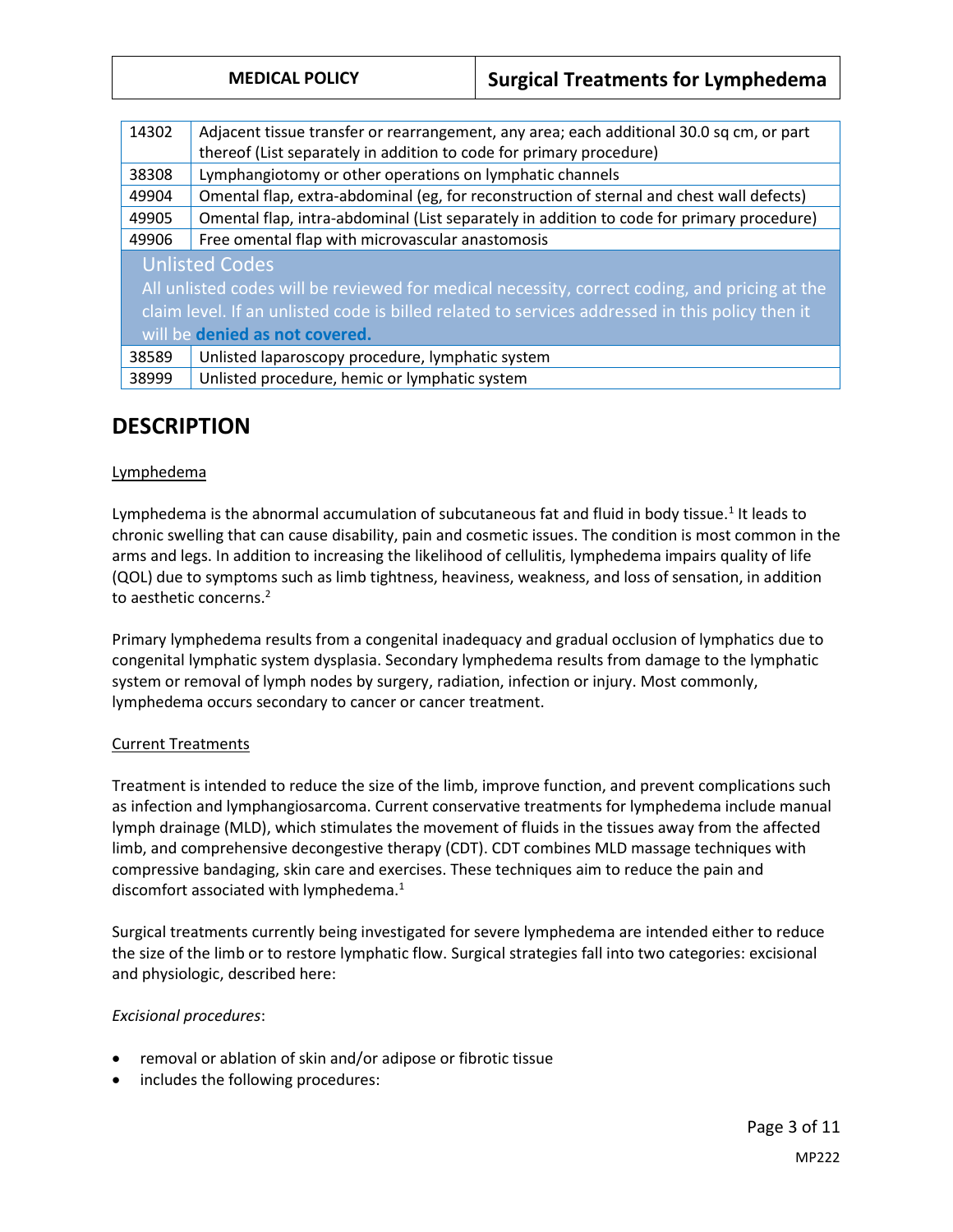|  | <b>MEDICAL POLICY</b> |  |  |
|--|-----------------------|--|--|
|  |                       |  |  |

| 14302                                                                                           | Adjacent tissue transfer or rearrangement, any area; each additional 30.0 sq cm, or part  |  |  |  |  |
|-------------------------------------------------------------------------------------------------|-------------------------------------------------------------------------------------------|--|--|--|--|
|                                                                                                 | thereof (List separately in addition to code for primary procedure)                       |  |  |  |  |
| 38308                                                                                           | Lymphangiotomy or other operations on lymphatic channels                                  |  |  |  |  |
| 49904                                                                                           | Omental flap, extra-abdominal (eg, for reconstruction of sternal and chest wall defects)  |  |  |  |  |
| 49905                                                                                           | Omental flap, intra-abdominal (List separately in addition to code for primary procedure) |  |  |  |  |
| 49906                                                                                           | Free omental flap with microvascular anastomosis                                          |  |  |  |  |
| <b>Unlisted Codes</b>                                                                           |                                                                                           |  |  |  |  |
| All unlisted codes will be reviewed for medical necessity, correct coding, and pricing at the   |                                                                                           |  |  |  |  |
| claim level. If an unlisted code is billed related to services addressed in this policy then it |                                                                                           |  |  |  |  |
| will be denied as not covered.                                                                  |                                                                                           |  |  |  |  |
| 38589                                                                                           | Unlisted laparoscopy procedure, lymphatic system                                          |  |  |  |  |
| 38999                                                                                           | Unlisted procedure, hemic or lymphatic system                                             |  |  |  |  |

## **DESCRIPTION**

#### Lymphedema

Lymphedema is the abnormal accumulation of subcutaneous fat and fluid in body tissue.<sup>1</sup> It leads to chronic swelling that can cause disability, pain and cosmetic issues. The condition is most common in the arms and legs. In addition to increasing the likelihood of cellulitis, lymphedema impairs quality of life (QOL) due to symptoms such as limb tightness, heaviness, weakness, and loss of sensation, in addition to aesthetic concerns.<sup>2</sup>

Primary lymphedema results from a congenital inadequacy and gradual occlusion of lymphatics due to congenital lymphatic system dysplasia. Secondary lymphedema results from damage to the lymphatic system or removal of lymph nodes by surgery, radiation, infection or injury. Most commonly, lymphedema occurs secondary to cancer or cancer treatment.

#### Current Treatments

Treatment is intended to reduce the size of the limb, improve function, and prevent complications such as infection and lymphangiosarcoma. Current conservative treatments for lymphedema include manual lymph drainage (MLD), which stimulates the movement of fluids in the tissues away from the affected limb, and comprehensive decongestive therapy (CDT). CDT combines MLD massage techniques with compressive bandaging, skin care and exercises. These techniques aim to reduce the pain and discomfort associated with lymphedema.<sup>1</sup>

Surgical treatments currently being investigated for severe lymphedema are intended either to reduce the size of the limb or to restore lymphatic flow. Surgical strategies fall into two categories: excisional and physiologic, described here:

### *Excisional procedures*:

- removal or ablation of skin and/or adipose or fibrotic tissue
- includes the following procedures: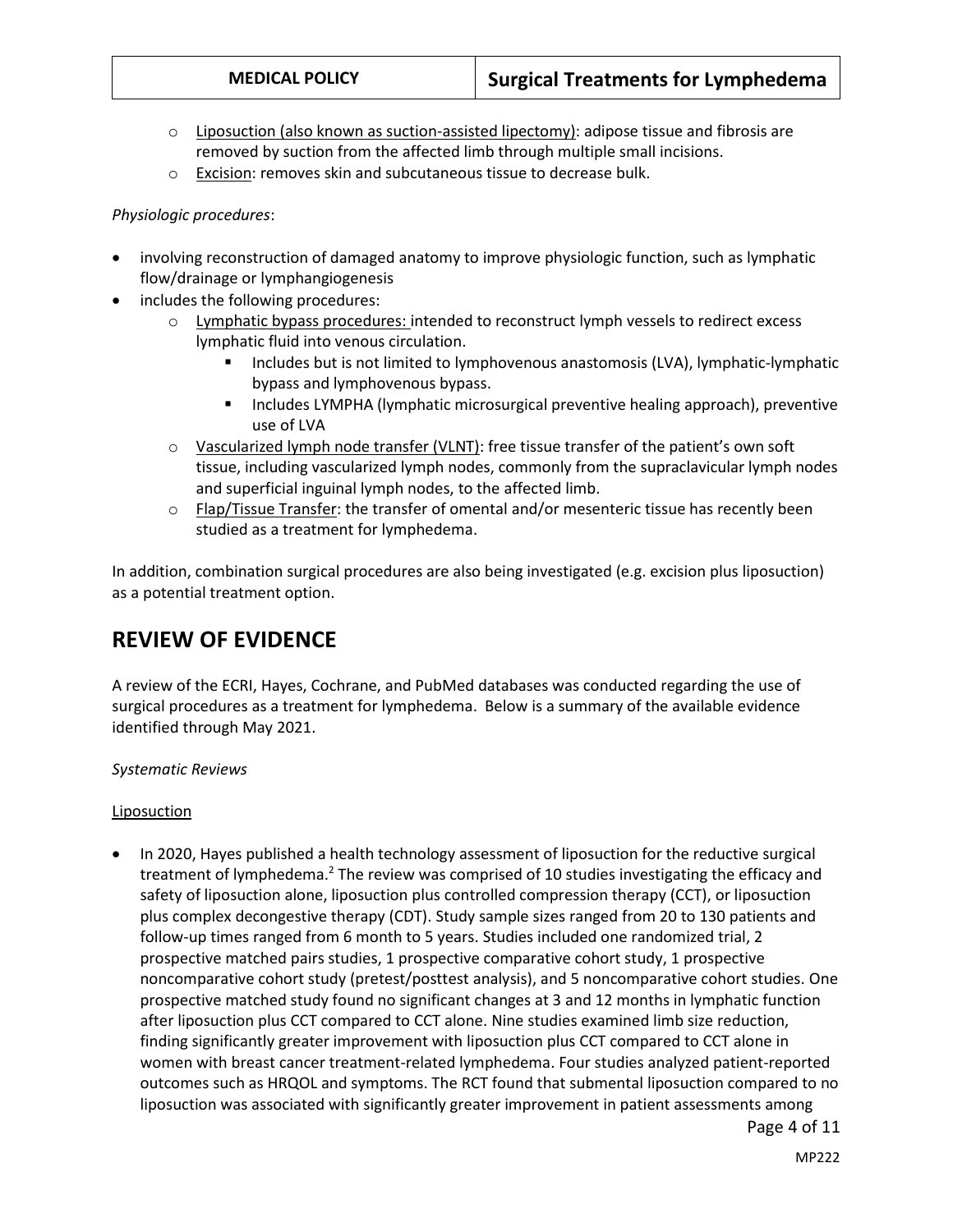- $\circ$  Liposuction (also known as suction-assisted lipectomy): adipose tissue and fibrosis are removed by suction from the affected limb through multiple small incisions.
- o Excision: removes skin and subcutaneous tissue to decrease bulk.

#### *Physiologic procedures*:

- involving reconstruction of damaged anatomy to improve physiologic function, such as lymphatic flow/drainage or lymphangiogenesis
- includes the following procedures:
	- o Lymphatic bypass procedures: intended to reconstruct lymph vessels to redirect excess lymphatic fluid into venous circulation.
		- **Includes but is not limited to lymphovenous anastomosis (LVA), lymphatic-lymphatic** bypass and lymphovenous bypass.
		- **Includes LYMPHA (lymphatic microsurgical preventive healing approach), preventive** use of LVA
	- o Vascularized lymph node transfer (VLNT): free tissue transfer of the patient's own soft tissue, including vascularized lymph nodes, commonly from the supraclavicular lymph nodes and superficial inguinal lymph nodes, to the affected limb.
	- $\circ$  Flap/Tissue Transfer: the transfer of omental and/or mesenteric tissue has recently been studied as a treatment for lymphedema.

In addition, combination surgical procedures are also being investigated (e.g. excision plus liposuction) as a potential treatment option.

## **REVIEW OF EVIDENCE**

A review of the ECRI, Hayes, Cochrane, and PubMed databases was conducted regarding the use of surgical procedures as a treatment for lymphedema. Below is a summary of the available evidence identified through May 2021.

#### *Systematic Reviews*

#### **Liposuction**

• In 2020, Hayes published a health technology assessment of liposuction for the reductive surgical treatment of lymphedema.<sup>2</sup> The review was comprised of 10 studies investigating the efficacy and safety of liposuction alone, liposuction plus controlled compression therapy (CCT), or liposuction plus complex decongestive therapy (CDT). Study sample sizes ranged from 20 to 130 patients and follow-up times ranged from 6 month to 5 years. Studies included one randomized trial, 2 prospective matched pairs studies, 1 prospective comparative cohort study, 1 prospective noncomparative cohort study (pretest/posttest analysis), and 5 noncomparative cohort studies. One prospective matched study found no significant changes at 3 and 12 months in lymphatic function after liposuction plus CCT compared to CCT alone. Nine studies examined limb size reduction, finding significantly greater improvement with liposuction plus CCT compared to CCT alone in women with breast cancer treatment-related lymphedema. Four studies analyzed patient-reported outcomes such as HRQOL and symptoms. The RCT found that submental liposuction compared to no liposuction was associated with significantly greater improvement in patient assessments among

Page 4 of 11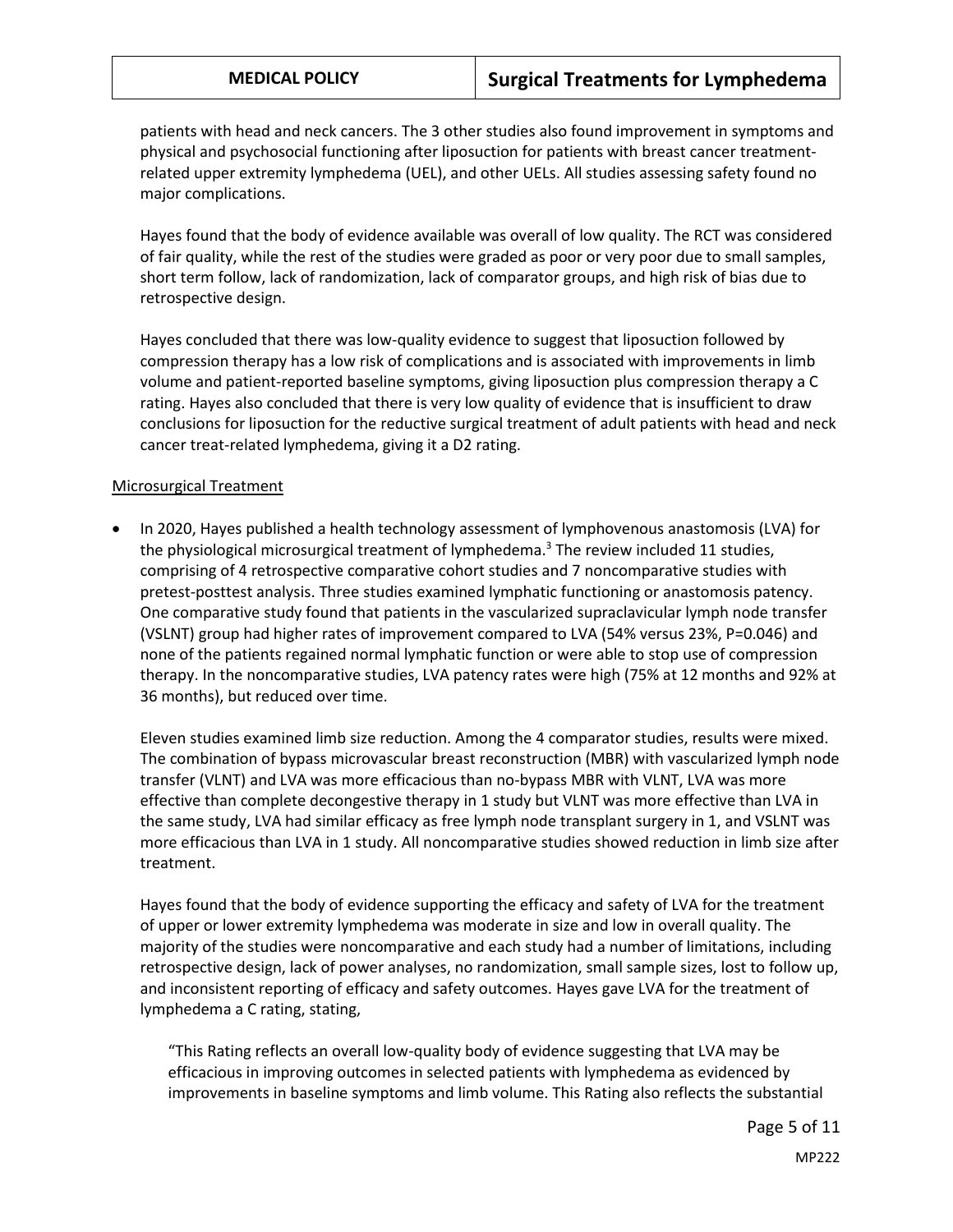patients with head and neck cancers. The 3 other studies also found improvement in symptoms and physical and psychosocial functioning after liposuction for patients with breast cancer treatmentrelated upper extremity lymphedema (UEL), and other UELs. All studies assessing safety found no major complications.

Hayes found that the body of evidence available was overall of low quality. The RCT was considered of fair quality, while the rest of the studies were graded as poor or very poor due to small samples, short term follow, lack of randomization, lack of comparator groups, and high risk of bias due to retrospective design.

Hayes concluded that there was low-quality evidence to suggest that liposuction followed by compression therapy has a low risk of complications and is associated with improvements in limb volume and patient-reported baseline symptoms, giving liposuction plus compression therapy a C rating. Hayes also concluded that there is very low quality of evidence that is insufficient to draw conclusions for liposuction for the reductive surgical treatment of adult patients with head and neck cancer treat-related lymphedema, giving it a D2 rating.

#### Microsurgical Treatment

 In 2020, Hayes published a health technology assessment of lymphovenous anastomosis (LVA) for the physiological microsurgical treatment of lymphedema. <sup>3</sup> The review included 11 studies, comprising of 4 retrospective comparative cohort studies and 7 noncomparative studies with pretest-posttest analysis. Three studies examined lymphatic functioning or anastomosis patency. One comparative study found that patients in the vascularized supraclavicular lymph node transfer (VSLNT) group had higher rates of improvement compared to LVA (54% versus 23%, P=0.046) and none of the patients regained normal lymphatic function or were able to stop use of compression therapy. In the noncomparative studies, LVA patency rates were high (75% at 12 months and 92% at 36 months), but reduced over time.

Eleven studies examined limb size reduction. Among the 4 comparator studies, results were mixed. The combination of bypass microvascular breast reconstruction (MBR) with vascularized lymph node transfer (VLNT) and LVA was more efficacious than no-bypass MBR with VLNT, LVA was more effective than complete decongestive therapy in 1 study but VLNT was more effective than LVA in the same study, LVA had similar efficacy as free lymph node transplant surgery in 1, and VSLNT was more efficacious than LVA in 1 study. All noncomparative studies showed reduction in limb size after treatment.

Hayes found that the body of evidence supporting the efficacy and safety of LVA for the treatment of upper or lower extremity lymphedema was moderate in size and low in overall quality. The majority of the studies were noncomparative and each study had a number of limitations, including retrospective design, lack of power analyses, no randomization, small sample sizes, lost to follow up, and inconsistent reporting of efficacy and safety outcomes. Hayes gave LVA for the treatment of lymphedema a C rating, stating,

"This Rating reflects an overall low-quality body of evidence suggesting that LVA may be efficacious in improving outcomes in selected patients with lymphedema as evidenced by improvements in baseline symptoms and limb volume. This Rating also reflects the substantial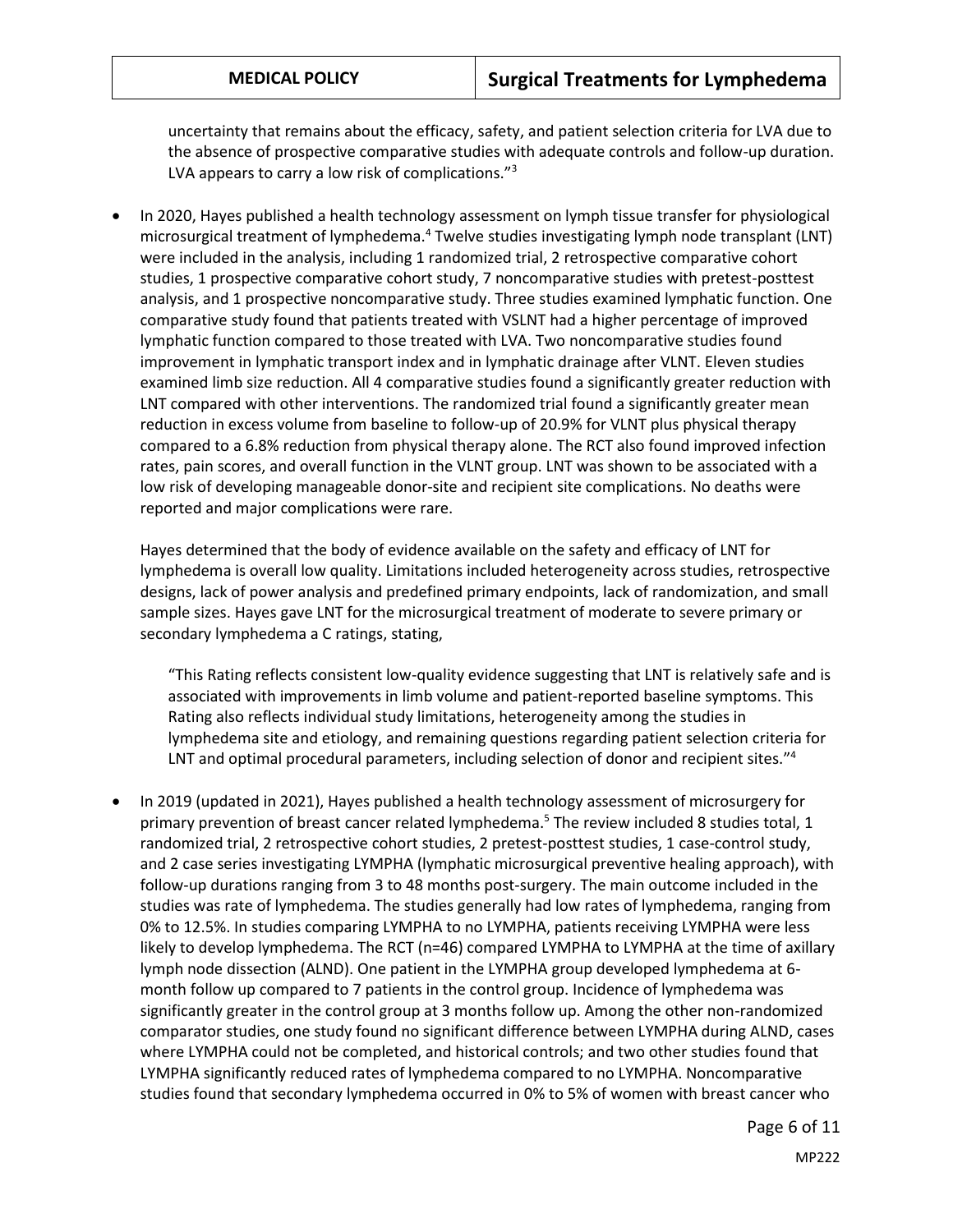uncertainty that remains about the efficacy, safety, and patient selection criteria for LVA due to the absence of prospective comparative studies with adequate controls and follow-up duration. LVA appears to carry a low risk of complications."<sup>3</sup>

 In 2020, Hayes published a health technology assessment on lymph tissue transfer for physiological microsurgical treatment of lymphedema.<sup>4</sup> Twelve studies investigating lymph node transplant (LNT) were included in the analysis, including 1 randomized trial, 2 retrospective comparative cohort studies, 1 prospective comparative cohort study, 7 noncomparative studies with pretest-posttest analysis, and 1 prospective noncomparative study. Three studies examined lymphatic function. One comparative study found that patients treated with VSLNT had a higher percentage of improved lymphatic function compared to those treated with LVA. Two noncomparative studies found improvement in lymphatic transport index and in lymphatic drainage after VLNT. Eleven studies examined limb size reduction. All 4 comparative studies found a significantly greater reduction with LNT compared with other interventions. The randomized trial found a significantly greater mean reduction in excess volume from baseline to follow-up of 20.9% for VLNT plus physical therapy compared to a 6.8% reduction from physical therapy alone. The RCT also found improved infection rates, pain scores, and overall function in the VLNT group. LNT was shown to be associated with a low risk of developing manageable donor-site and recipient site complications. No deaths were reported and major complications were rare.

Hayes determined that the body of evidence available on the safety and efficacy of LNT for lymphedema is overall low quality. Limitations included heterogeneity across studies, retrospective designs, lack of power analysis and predefined primary endpoints, lack of randomization, and small sample sizes. Hayes gave LNT for the microsurgical treatment of moderate to severe primary or secondary lymphedema a C ratings, stating,

"This Rating reflects consistent low-quality evidence suggesting that LNT is relatively safe and is associated with improvements in limb volume and patient-reported baseline symptoms. This Rating also reflects individual study limitations, heterogeneity among the studies in lymphedema site and etiology, and remaining questions regarding patient selection criteria for LNT and optimal procedural parameters, including selection of donor and recipient sites." 4

 In 2019 (updated in 2021), Hayes published a health technology assessment of microsurgery for primary prevention of breast cancer related lymphedema.<sup>5</sup> The review included 8 studies total, 1 randomized trial, 2 retrospective cohort studies, 2 pretest-posttest studies, 1 case-control study, and 2 case series investigating LYMPHA (lymphatic microsurgical preventive healing approach), with follow-up durations ranging from 3 to 48 months post-surgery. The main outcome included in the studies was rate of lymphedema. The studies generally had low rates of lymphedema, ranging from 0% to 12.5%. In studies comparing LYMPHA to no LYMPHA, patients receiving LYMPHA were less likely to develop lymphedema. The RCT (n=46) compared LYMPHA to LYMPHA at the time of axillary lymph node dissection (ALND). One patient in the LYMPHA group developed lymphedema at 6 month follow up compared to 7 patients in the control group. Incidence of lymphedema was significantly greater in the control group at 3 months follow up. Among the other non-randomized comparator studies, one study found no significant difference between LYMPHA during ALND, cases where LYMPHA could not be completed, and historical controls; and two other studies found that LYMPHA significantly reduced rates of lymphedema compared to no LYMPHA. Noncomparative studies found that secondary lymphedema occurred in 0% to 5% of women with breast cancer who

Page 6 of 11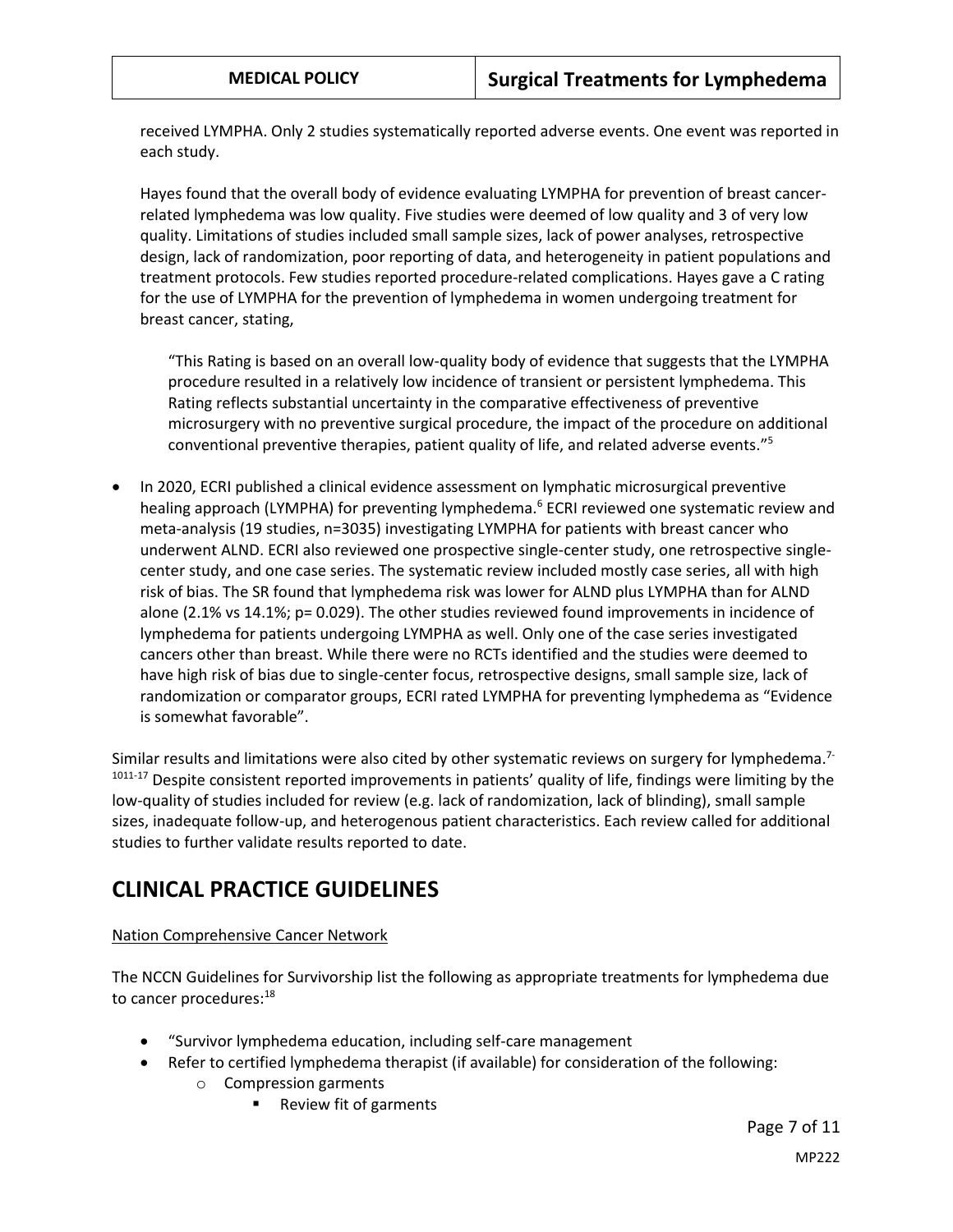received LYMPHA. Only 2 studies systematically reported adverse events. One event was reported in each study.

Hayes found that the overall body of evidence evaluating LYMPHA for prevention of breast cancerrelated lymphedema was low quality. Five studies were deemed of low quality and 3 of very low quality. Limitations of studies included small sample sizes, lack of power analyses, retrospective design, lack of randomization, poor reporting of data, and heterogeneity in patient populations and treatment protocols. Few studies reported procedure-related complications. Hayes gave a C rating for the use of LYMPHA for the prevention of lymphedema in women undergoing treatment for breast cancer, stating,

"This Rating is based on an overall low-quality body of evidence that suggests that the LYMPHA procedure resulted in a relatively low incidence of transient or persistent lymphedema. This Rating reflects substantial uncertainty in the comparative effectiveness of preventive microsurgery with no preventive surgical procedure, the impact of the procedure on additional conventional preventive therapies, patient quality of life, and related adverse events." 5

 In 2020, ECRI published a clinical evidence assessment on lymphatic microsurgical preventive healing approach (LYMPHA) for preventing lymphedema.<sup>6</sup> ECRI reviewed one systematic review and meta-analysis (19 studies, n=3035) investigating LYMPHA for patients with breast cancer who underwent ALND. ECRI also reviewed one prospective single-center study, one retrospective singlecenter study, and one case series. The systematic review included mostly case series, all with high risk of bias. The SR found that lymphedema risk was lower for ALND plus LYMPHA than for ALND alone (2.1% vs 14.1%; p= 0.029). The other studies reviewed found improvements in incidence of lymphedema for patients undergoing LYMPHA as well. Only one of the case series investigated cancers other than breast. While there were no RCTs identified and the studies were deemed to have high risk of bias due to single-center focus, retrospective designs, small sample size, lack of randomization or comparator groups, ECRI rated LYMPHA for preventing lymphedema as "Evidence is somewhat favorable".

Similar results and limitations were also cited by other systematic reviews on surgery for lymphedema.<sup>7-</sup> 1011-17 Despite consistent reported improvements in patients' quality of life, findings were limiting by the low-quality of studies included for review (e.g. lack of randomization, lack of blinding), small sample sizes, inadequate follow-up, and heterogenous patient characteristics. Each review called for additional studies to further validate results reported to date.

## **CLINICAL PRACTICE GUIDELINES**

### Nation Comprehensive Cancer Network

The NCCN Guidelines for Survivorship list the following as appropriate treatments for lymphedema due to cancer procedures:<sup>18</sup>

- "Survivor lymphedema education, including self-care management
- Refer to certified lymphedema therapist (if available) for consideration of the following:
	- o Compression garments
		- Review fit of garments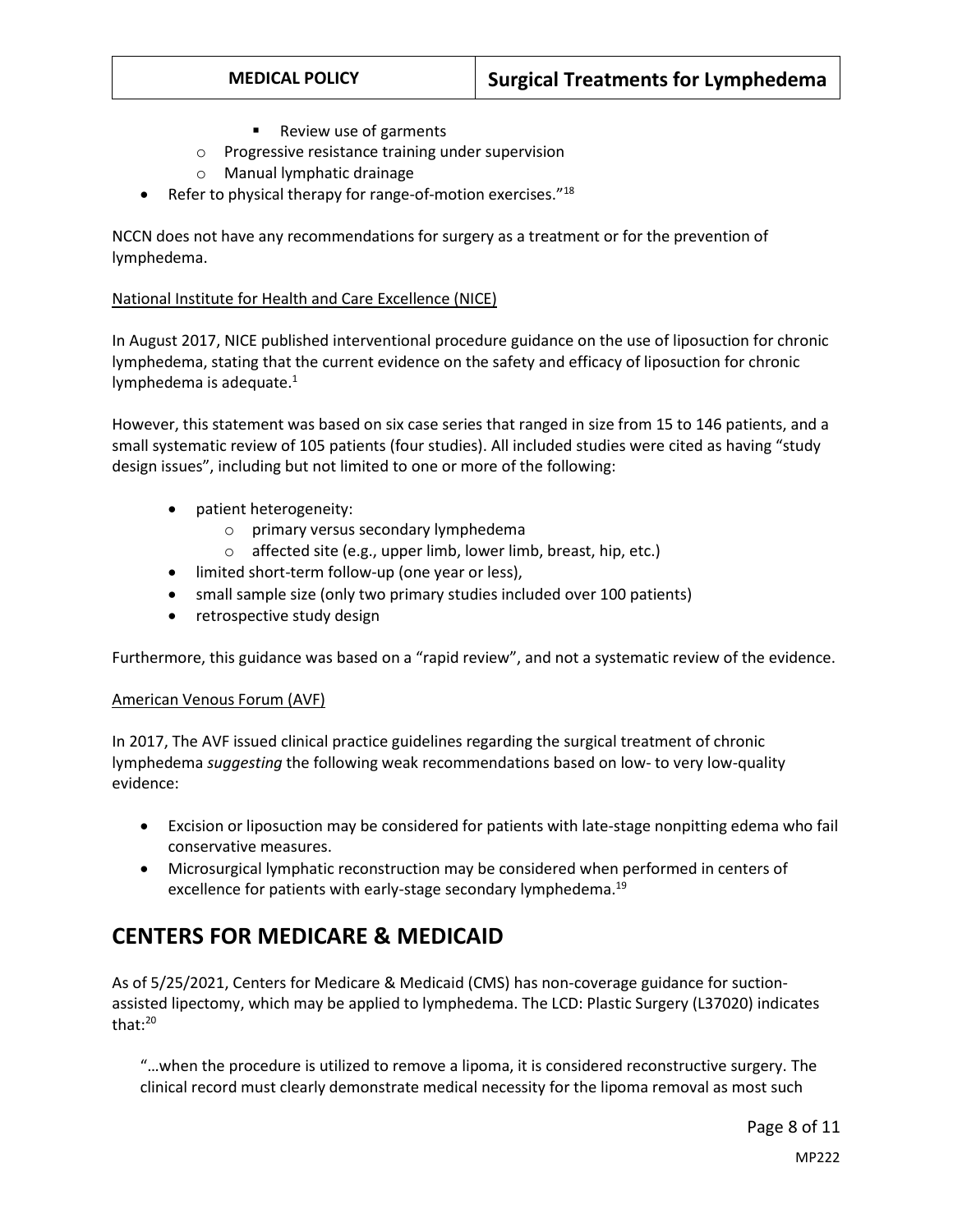- Review use of garments
- o Progressive resistance training under supervision
- o Manual lymphatic drainage
- Refer to physical therapy for range-of-motion exercises."<sup>18</sup>

NCCN does not have any recommendations for surgery as a treatment or for the prevention of lymphedema.

#### National Institute for Health and Care Excellence (NICE)

In August 2017, NICE published interventional procedure guidance on the use of liposuction for chronic lymphedema, stating that the current evidence on the safety and efficacy of liposuction for chronic lymphedema is adequate.<sup>1</sup>

However, this statement was based on six case series that ranged in size from 15 to 146 patients, and a small systematic review of 105 patients (four studies). All included studies were cited as having "study design issues", including but not limited to one or more of the following:

- patient heterogeneity:
	- o primary versus secondary lymphedema
	- o affected site (e.g., upper limb, lower limb, breast, hip, etc.)
- limited short-term follow-up (one year or less),
- small sample size (only two primary studies included over 100 patients)
- retrospective study design

Furthermore, this guidance was based on a "rapid review", and not a systematic review of the evidence.

#### American Venous Forum (AVF)

In 2017, The AVF issued clinical practice guidelines regarding the surgical treatment of chronic lymphedema *suggesting* the following weak recommendations based on low- to very low-quality evidence:

- Excision or liposuction may be considered for patients with late-stage nonpitting edema who fail conservative measures.
- <span id="page-7-0"></span> Microsurgical lymphatic reconstruction may be considered when performed in centers of excellence for patients with early-stage secondary lymphedema.<sup>19</sup>

## **CENTERS FOR MEDICARE & MEDICAID**

As of 5/25/2021, Centers for Medicare & Medicaid (CMS) has non-coverage guidance for suctionassisted lipectomy, which may be applied to lymphedema. The LCD: Plastic Surgery (L37020) indicates that:<sup>20</sup>

"…when the procedure is utilized to remove a lipoma, it is considered reconstructive surgery. The clinical record must clearly demonstrate medical necessity for the lipoma removal as most such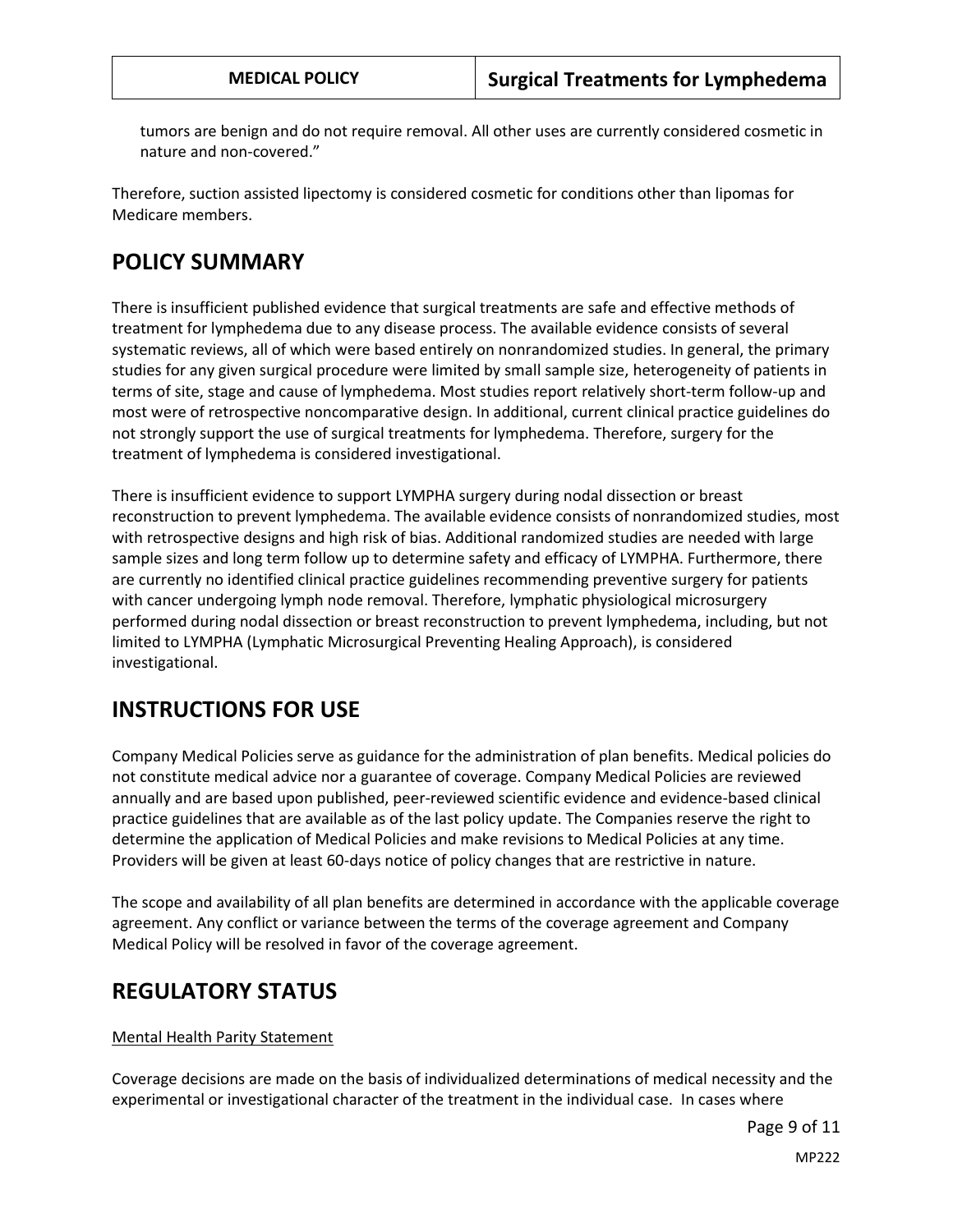tumors are benign and do not require removal. All other uses are currently considered cosmetic in nature and non-covered."

Therefore, suction assisted lipectomy is considered cosmetic for conditions other than lipomas for Medicare members.

# **POLICY SUMMARY**

There is insufficient published evidence that surgical treatments are safe and effective methods of treatment for lymphedema due to any disease process. The available evidence consists of several systematic reviews, all of which were based entirely on nonrandomized studies. In general, the primary studies for any given surgical procedure were limited by small sample size, heterogeneity of patients in terms of site, stage and cause of lymphedema. Most studies report relatively short-term follow-up and most were of retrospective noncomparative design. In additional, current clinical practice guidelines do not strongly support the use of surgical treatments for lymphedema. Therefore, surgery for the treatment of lymphedema is considered investigational.

There is insufficient evidence to support LYMPHA surgery during nodal dissection or breast reconstruction to prevent lymphedema. The available evidence consists of nonrandomized studies, most with retrospective designs and high risk of bias. Additional randomized studies are needed with large sample sizes and long term follow up to determine safety and efficacy of LYMPHA. Furthermore, there are currently no identified clinical practice guidelines recommending preventive surgery for patients with cancer undergoing lymph node removal. Therefore, lymphatic physiological microsurgery performed during nodal dissection or breast reconstruction to prevent lymphedema, including, but not limited to LYMPHA (Lymphatic Microsurgical Preventing Healing Approach), is considered investigational.

# **INSTRUCTIONS FOR USE**

Company Medical Policies serve as guidance for the administration of plan benefits. Medical policies do not constitute medical advice nor a guarantee of coverage. Company Medical Policies are reviewed annually and are based upon published, peer-reviewed scientific evidence and evidence-based clinical practice guidelines that are available as of the last policy update. The Companies reserve the right to determine the application of Medical Policies and make revisions to Medical Policies at any time. Providers will be given at least 60-days notice of policy changes that are restrictive in nature.

The scope and availability of all plan benefits are determined in accordance with the applicable coverage agreement. Any conflict or variance between the terms of the coverage agreement and Company Medical Policy will be resolved in favor of the coverage agreement.

## **REGULATORY STATUS**

### Mental Health Parity Statement

Coverage decisions are made on the basis of individualized determinations of medical necessity and the experimental or investigational character of the treatment in the individual case. In cases where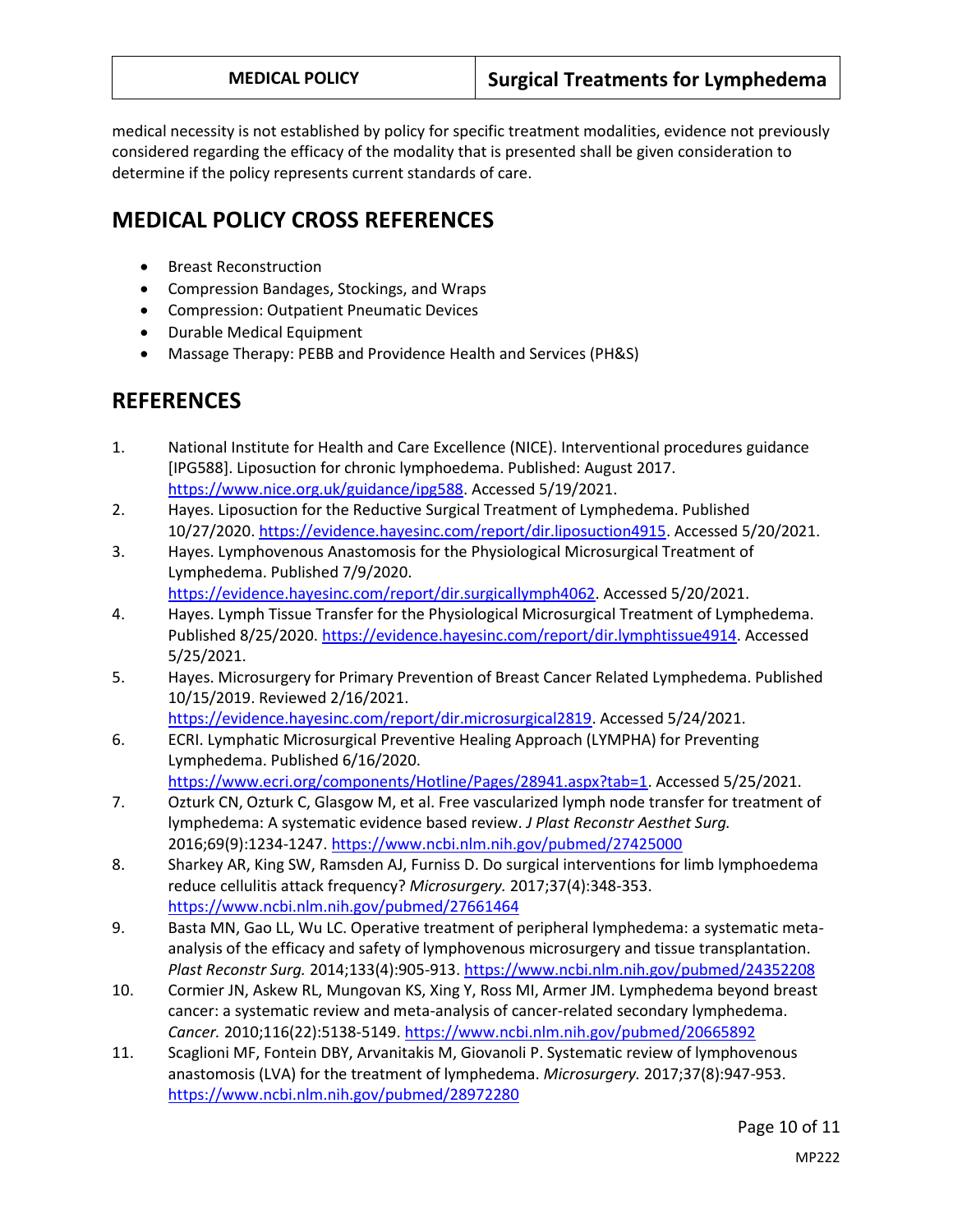medical necessity is not established by policy for specific treatment modalities, evidence not previously considered regarding the efficacy of the modality that is presented shall be given consideration to determine if the policy represents current standards of care.

# **MEDICAL POLICY CROSS REFERENCES**

- **•** Breast Reconstruction
- Compression Bandages, Stockings, and Wraps
- Compression: Outpatient Pneumatic Devices
- Durable Medical Equipment
- Massage Therapy: PEBB and Providence Health and Services (PH&S)

# **REFERENCES**

- 1. National Institute for Health and Care Excellence (NICE). Interventional procedures guidance [IPG588]. Liposuction for chronic lymphoedema. Published: August 2017. [https://www.nice.org.uk/guidance/ipg588.](https://www.nice.org.uk/guidance/ipg588) Accessed 5/19/2021.
- 2. Hayes. Liposuction for the Reductive Surgical Treatment of Lymphedema. Published 10/27/2020[. https://evidence.hayesinc.com/report/dir.liposuction4915.](https://evidence.hayesinc.com/report/dir.liposuction4915) Accessed 5/20/2021.
- 3. Hayes. Lymphovenous Anastomosis for the Physiological Microsurgical Treatment of Lymphedema. Published 7/9/2020. [https://evidence.hayesinc.com/report/dir.surgicallymph4062.](https://evidence.hayesinc.com/report/dir.surgicallymph4062) Accessed 5/20/2021.
- 4. Hayes. Lymph Tissue Transfer for the Physiological Microsurgical Treatment of Lymphedema. Published 8/25/2020. [https://evidence.hayesinc.com/report/dir.lymphtissue4914.](https://evidence.hayesinc.com/report/dir.lymphtissue4914) Accessed 5/25/2021.
- 5. Hayes. Microsurgery for Primary Prevention of Breast Cancer Related Lymphedema. Published 10/15/2019. Reviewed 2/16/2021. [https://evidence.hayesinc.com/report/dir.microsurgical2819.](https://evidence.hayesinc.com/report/dir.microsurgical2819) Accessed 5/24/2021.
- 6. ECRI. Lymphatic Microsurgical Preventive Healing Approach (LYMPHA) for Preventing Lymphedema. Published 6/16/2020. [https://www.ecri.org/components/Hotline/Pages/28941.aspx?tab=1.](https://www.ecri.org/components/Hotline/Pages/28941.aspx?tab=1) Accessed 5/25/2021.
- 7. Ozturk CN, Ozturk C, Glasgow M, et al. Free vascularized lymph node transfer for treatment of lymphedema: A systematic evidence based review. *J Plast Reconstr Aesthet Surg.*  2016;69(9):1234-1247.<https://www.ncbi.nlm.nih.gov/pubmed/27425000>
- 8. Sharkey AR, King SW, Ramsden AJ, Furniss D. Do surgical interventions for limb lymphoedema reduce cellulitis attack frequency? *Microsurgery.* 2017;37(4):348-353. <https://www.ncbi.nlm.nih.gov/pubmed/27661464>
- 9. Basta MN, Gao LL, Wu LC. Operative treatment of peripheral lymphedema: a systematic metaanalysis of the efficacy and safety of lymphovenous microsurgery and tissue transplantation. *Plast Reconstr Surg.* 2014;133(4):905-913.<https://www.ncbi.nlm.nih.gov/pubmed/24352208>
- 10. Cormier JN, Askew RL, Mungovan KS, Xing Y, Ross MI, Armer JM. Lymphedema beyond breast cancer: a systematic review and meta-analysis of cancer-related secondary lymphedema. *Cancer.* 2010;116(22):5138-5149.<https://www.ncbi.nlm.nih.gov/pubmed/20665892>
- 11. Scaglioni MF, Fontein DBY, Arvanitakis M, Giovanoli P. Systematic review of lymphovenous anastomosis (LVA) for the treatment of lymphedema. *Microsurgery.* 2017;37(8):947-953. <https://www.ncbi.nlm.nih.gov/pubmed/28972280>